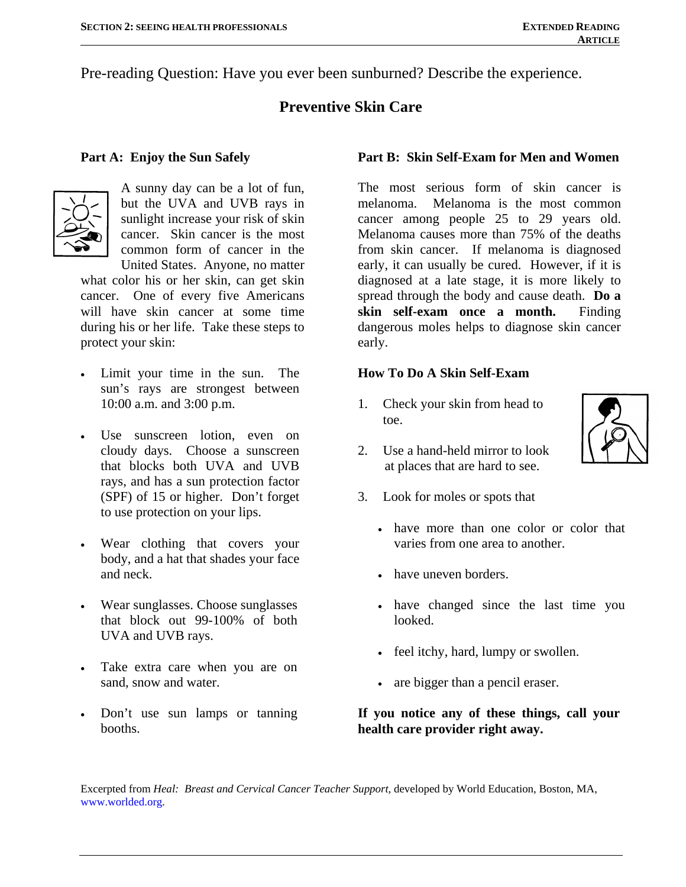Pre-reading Question: Have you ever been sunburned? Describe the experience.

# **Preventive Skin Care**

#### **Part A: Enjoy the Sun Safely**



 A sunny day can be a lot of fun, but the UVA and UVB rays in sunlight increase your risk of skin cancer. Skin cancer is the most common form of cancer in the United States. Anyone, no matter

what color his or her skin, can get skin cancer. One of every five Americans will have skin cancer at some time during his or her life. Take these steps to protect your skin:

- Limit your time in the sun. The sun's rays are strongest between 10:00 a.m. and 3:00 p.m.
- Use sunscreen lotion, even on cloudy days. Choose a sunscreen that blocks both UVA and UVB rays, and has a sun protection factor (SPF) of 15 or higher. Don't forget to use protection on your lips.
- Wear clothing that covers your body, and a hat that shades your face and neck.
- Wear sunglasses. Choose sunglasses that block out 99-100% of both UVA and UVB rays.
- Take extra care when you are on sand, snow and water.
- Don't use sun lamps or tanning booths.

### **Part B: Skin Self-Exam for Men and Women**

The most serious form of skin cancer is melanoma. Melanoma is the most common cancer among people 25 to 29 years old. Melanoma causes more than 75% of the deaths from skin cancer. If melanoma is diagnosed early, it can usually be cured. However, if it is diagnosed at a late stage, it is more likely to spread through the body and cause death. **Do a skin self-exam once a month.** Finding dangerous moles helps to diagnose skin cancer early.

#### **How To Do A Skin Self-Exam**

1. Check your skin from head to toe.



- 2. Use a hand-held mirror to look at places that are hard to see.
- 3. Look for moles or spots that
	- have more than one color or color that varies from one area to another.
	- have uneven borders.
	- have changed since the last time you looked.
	- feel itchy, hard, lumpy or swollen.
	- are bigger than a pencil eraser.

#### **If you notice any of these things, call your health care provider right away.**

Excerpted from *Heal: Breast and Cervical Cancer Teacher Support*, developed by World Education, Boston, MA, [www.worlded.org.](http://www.worlded.org/)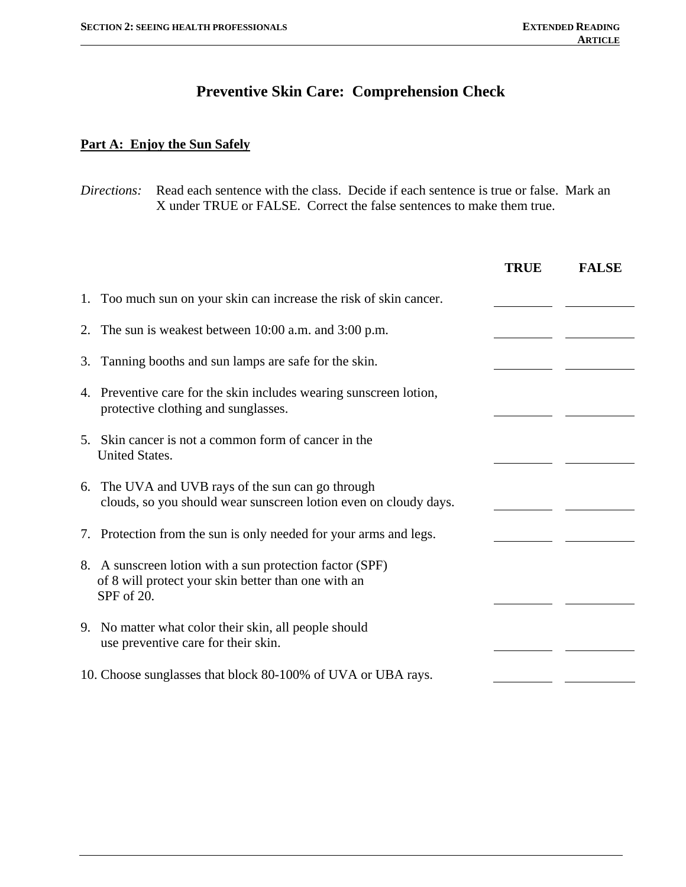# **Preventive Skin Care: Comprehension Check**

## **Part A: Enjoy the Sun Safely**

| Directions:<br>Read each sentence with the class. Decide if each sentence is true or false. Mark an<br>X under TRUE or FALSE. Correct the false sentences to make them true. |                                                                                                                       |             |              |  |
|------------------------------------------------------------------------------------------------------------------------------------------------------------------------------|-----------------------------------------------------------------------------------------------------------------------|-------------|--------------|--|
|                                                                                                                                                                              |                                                                                                                       | <b>TRUE</b> | <b>FALSE</b> |  |
|                                                                                                                                                                              | 1. Too much sun on your skin can increase the risk of skin cancer.                                                    |             |              |  |
| 2.                                                                                                                                                                           | The sun is weakest between 10:00 a.m. and 3:00 p.m.                                                                   |             |              |  |
| 3.                                                                                                                                                                           | Tanning booths and sun lamps are safe for the skin.                                                                   |             |              |  |
|                                                                                                                                                                              | 4. Preventive care for the skin includes wearing sunscreen lotion,<br>protective clothing and sunglasses.             |             |              |  |
| <b>United States.</b>                                                                                                                                                        | 5. Skin cancer is not a common form of cancer in the                                                                  |             |              |  |
|                                                                                                                                                                              | 6. The UVA and UVB rays of the sun can go through<br>clouds, so you should wear sunscreen lotion even on cloudy days. |             |              |  |
|                                                                                                                                                                              | 7. Protection from the sun is only needed for your arms and legs.                                                     |             |              |  |
| SPF of 20.                                                                                                                                                                   | 8. A sunscreen lotion with a sun protection factor (SPF)<br>of 8 will protect your skin better than one with an       |             |              |  |
|                                                                                                                                                                              | 9. No matter what color their skin, all people should<br>use preventive care for their skin.                          |             |              |  |
|                                                                                                                                                                              | 10. Choose sunglasses that block 80-100% of UVA or UBA rays.                                                          |             |              |  |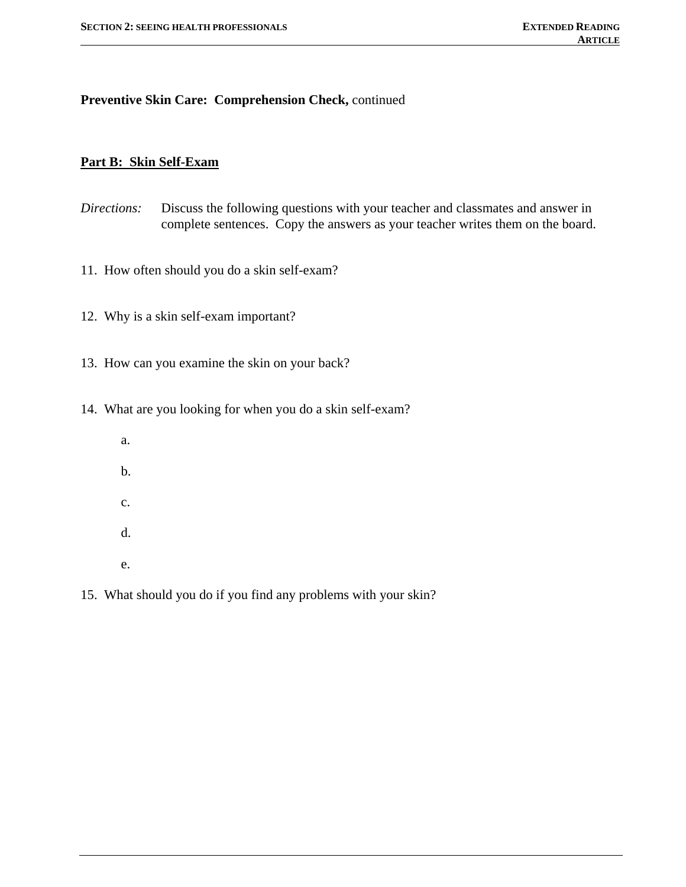#### **Preventive Skin Care: Comprehension Check,** continued

### **Part B: Skin Self-Exam**

- *Directions:* Discuss the following questions with your teacher and classmates and answer in complete sentences. Copy the answers as your teacher writes them on the board.
- 11. How often should you do a skin self-exam?
- 12. Why is a skin self-exam important?
- 13. How can you examine the skin on your back?
- 14. What are you looking for when you do a skin self-exam?
	- a. b. c. d.
	- e.
- 15. What should you do if you find any problems with your skin?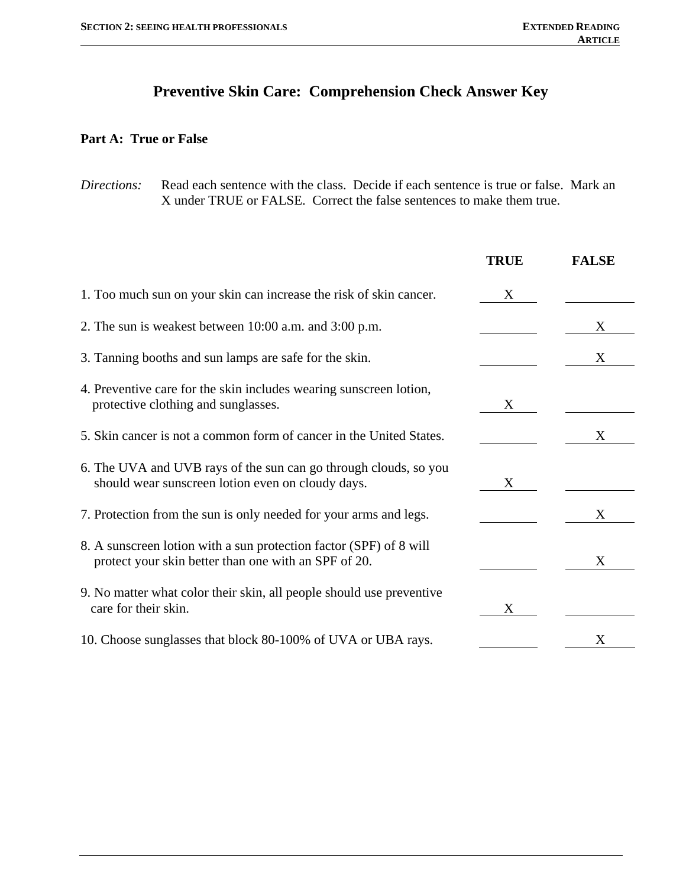# **Preventive Skin Care: Comprehension Check Answer Key**

### **Part A: True or False**

*Directions:* Read each sentence with the class. Decide if each sentence is true or false. Mark an X under TRUE or FALSE. Correct the false sentences to make them true.

|                                                                                                                            | <b>TRUE</b> | <b>FALSE</b> |
|----------------------------------------------------------------------------------------------------------------------------|-------------|--------------|
| 1. Too much sun on your skin can increase the risk of skin cancer.                                                         | X           |              |
| 2. The sun is weakest between 10:00 a.m. and 3:00 p.m.                                                                     |             | X            |
| 3. Tanning booths and sun lamps are safe for the skin.                                                                     |             | X            |
| 4. Preventive care for the skin includes wearing sunscreen lotion,<br>protective clothing and sunglasses.                  | X           |              |
| 5. Skin cancer is not a common form of cancer in the United States.                                                        |             | X            |
| 6. The UVA and UVB rays of the sun can go through clouds, so you<br>should wear sunscreen lotion even on cloudy days.      | X           |              |
| 7. Protection from the sun is only needed for your arms and legs.                                                          |             | X            |
| 8. A sunscreen lotion with a sun protection factor (SPF) of 8 will<br>protect your skin better than one with an SPF of 20. |             | X            |
| 9. No matter what color their skin, all people should use preventive<br>care for their skin.                               | X           |              |
| 10. Choose sunglasses that block 80-100% of UVA or UBA rays.                                                               |             | X            |